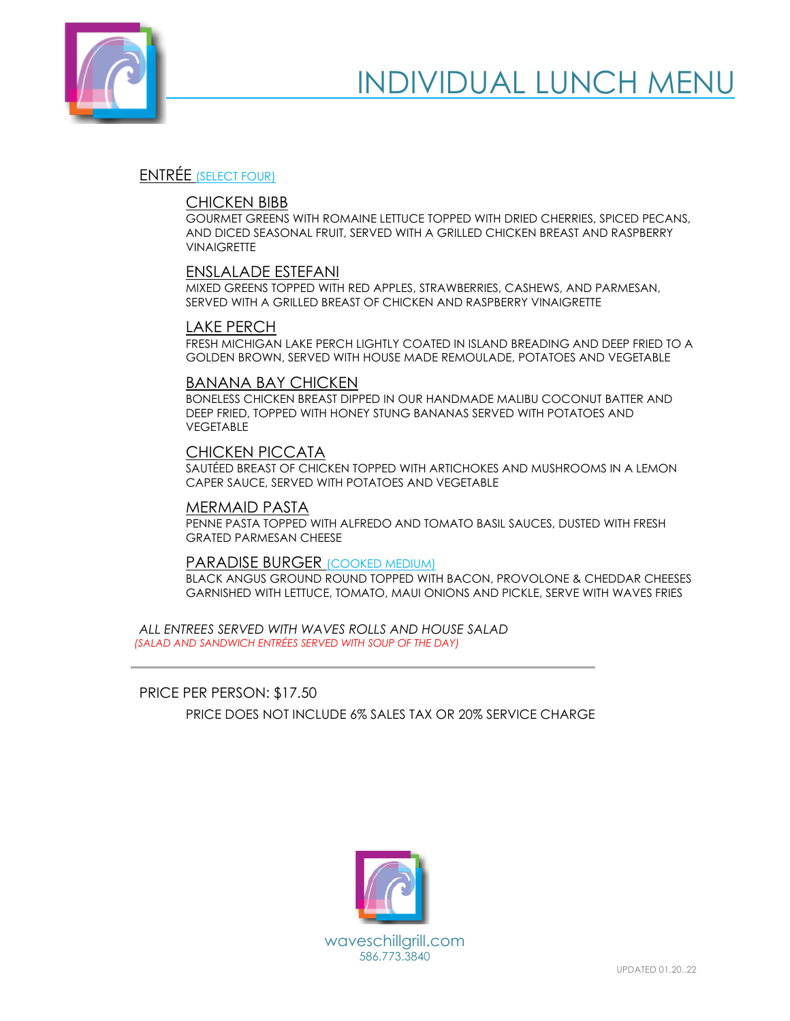

# ENTRÉE (SELECT FOUR)

### CHICKEN BIBB

GOURMET GREENS WITH ROMAINE LETTUCE TOPPED WITH DRIED CHERRIES, SPICED PECANS, AND DICED SEASONAL FRUIT, SERVED WITH A GRILLED CHICKEN BREAST AND RASPBERRY **VINAIGRETTE** 

# ENSLALADE ESTEFANI

MIXED GREENS TOPPED WITH RED APPLES, STRAWBERRIES, CASHEWS, AND PARMESAN, SERVED WITH A GRILLED BREAST OF CHICKEN AND RASPBERRY VINAIGRETTE

#### LAKE PERCH

FRESH MICHIGAN LAKE PERCH LIGHTLY COATED IN ISLAND BREADING AND DEEP FRIED TO A GOLDEN BROWN, SERVED WITH HOUSE MADE REMOULADE, POTATOES AND VEGETABLE

#### BANANA BAY CHICKEN

BONELESS CHICKEN BREAST DIPPED IN OUR HANDMADE MALIBU COCONUT BATTER AND DEEP FRIED, TOPPED WITH HONEY STUNG BANANAS SERVED WITH POTATOES AND VEGETABLE

# CHICKEN PICCATA

SAUTÉED BREAST OF CHICKEN TOPPED WITH ARTICHOKES AND MUSHROOMS IN A LEMON CAPER SAUCE, SERVED WITH POTATOES AND VEGETABLE

#### MERMAID PASTA

PENNE PASTA TOPPED WITH ALFREDO AND TOMATO BASIL SAUCES, DUSTED WITH FRESH GRATED PARMESAN CHEESE

#### PARADISE BURGER (COOKED MEDIUM)

BLACK ANGUS GROUND ROUND TOPPED WITH BACON, PROVOLONE & CHEDDAR CHEESES GARNISHED WITH LETTUCE, TOMATO, MAUI ONIONS AND PICKLE, SERVE WITH WAVES FRIES

*ALL ENTREES SERVED WITH WAVES ROLLS AND HOUSE SALAD (SALAD AND SANDWICH ENTRÉES SERVED WITH SOUP OF THE DAY)*

PRICE PER PERSON: \$17.50

PRICE DOES NOT INCLUDE 6% SALES TAX OR 20% SERVICE CHARGE

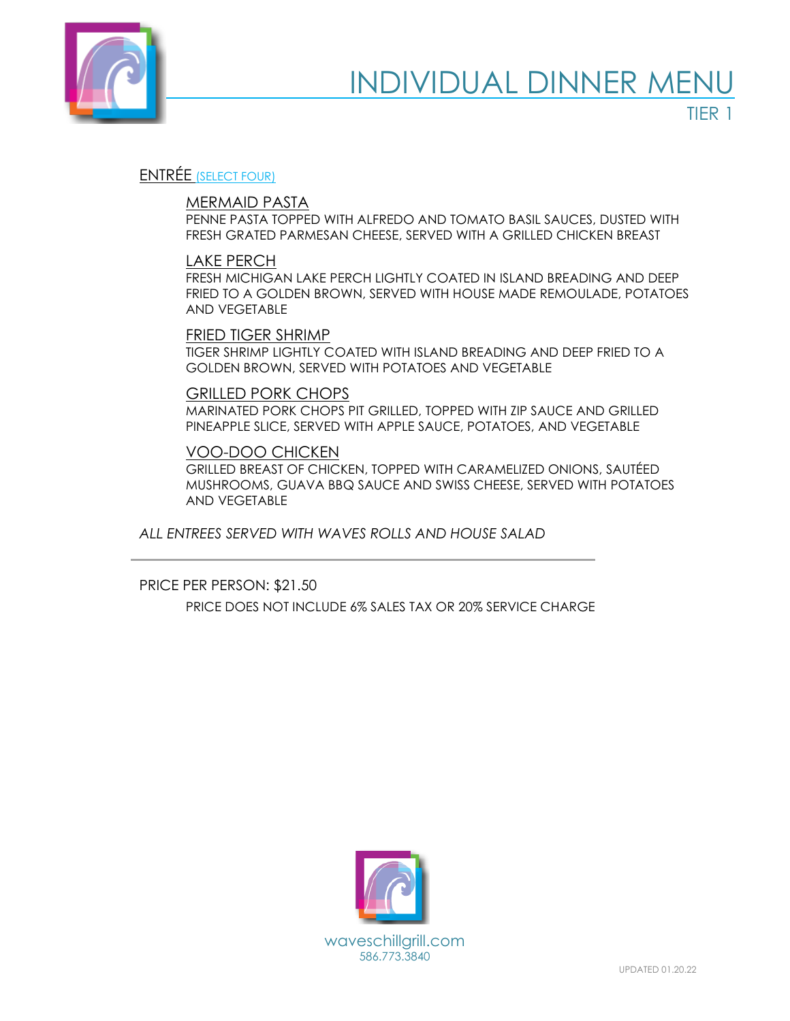

TIER 1

# ENTRÉE (SELECT FOUR)

# MERMAID PASTA

PENNE PASTA TOPPED WITH ALFREDO AND TOMATO BASIL SAUCES, DUSTED WITH FRESH GRATED PARMESAN CHEESE, SERVED WITH A GRILLED CHICKEN BREAST

# LAKE PERCH

FRESH MICHIGAN LAKE PERCH LIGHTLY COATED IN ISLAND BREADING AND DEEP FRIED TO A GOLDEN BROWN, SERVED WITH HOUSE MADE REMOULADE, POTATOES AND VEGETABLE

# FRIED TIGER SHRIMP

TIGER SHRIMP LIGHTLY COATED WITH ISLAND BREADING AND DEEP FRIED TO A GOLDEN BROWN, SERVED WITH POTATOES AND VEGETABLE

#### GRILLED PORK CHOPS

MARINATED PORK CHOPS PIT GRILLED, TOPPED WITH ZIP SAUCE AND GRILLED PINEAPPLE SLICE, SERVED WITH APPLE SAUCE, POTATOES, AND VEGETABLE

#### VOO-DOO CHICKEN

GRILLED BREAST OF CHICKEN, TOPPED WITH CARAMELIZED ONIONS, SAUTÉED MUSHROOMS, GUAVA BBQ SAUCE AND SWISS CHEESE, SERVED WITH POTATOES AND VEGETABLE

*ALL ENTREES SERVED WITH WAVES ROLLS AND HOUSE SALAD*

PRICE PER PERSON: \$21.50 PRICE DOES NOT INCLUDE 6% SALES TAX OR 20% SERVICE CHARGE